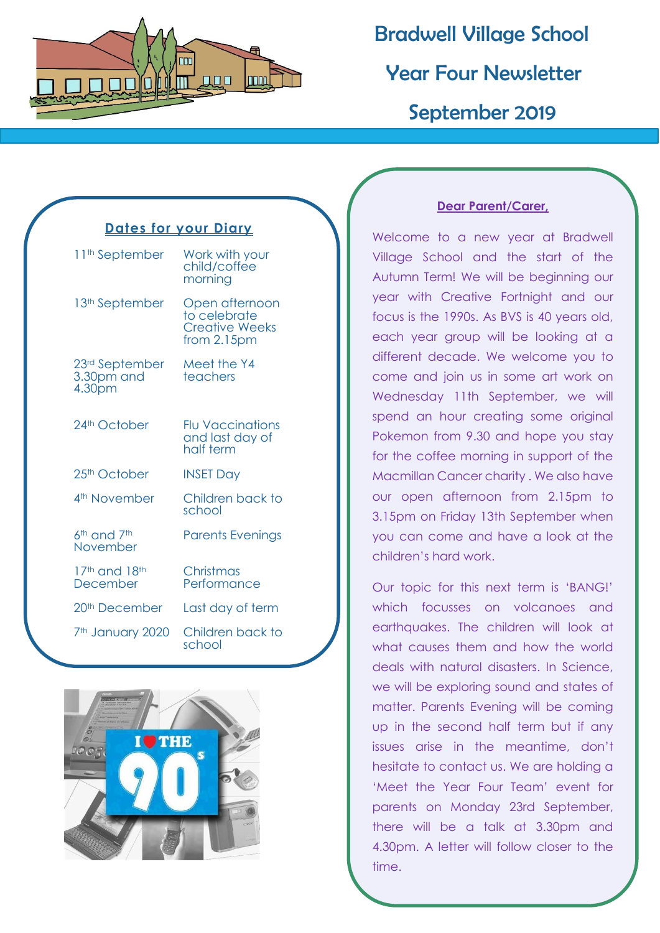

 Bradwell Village School Year Four Newsletter September 2019

### **Dates for your Diary**

| 11 <sup>th</sup> September                         | Work with your<br>child/coffee<br>morning                                 |
|----------------------------------------------------|---------------------------------------------------------------------------|
| 13 <sup>th</sup> September                         | Open afternoon<br>to celebrate<br><b>Creative Weeks</b><br>from $2.15$ pm |
| 23rd September<br>3.30pm and<br>4.30 <sub>pm</sub> | Meet the Y4<br>teachers                                                   |
| 24 <sup>th</sup> October                           | <b>Flu Vaccinations</b><br>and last day of<br>half term                   |
| 25 <sup>th</sup> October                           | <b>INSET Day</b>                                                          |
| 4 <sup>th</sup> November                           | Children back to<br>school                                                |
| 6 <sup>th</sup> and 7 <sup>th</sup><br>November    | <b>Parents Evenings</b>                                                   |
| 17th and 18th<br>December                          | Christmas<br>Performance                                                  |
| 20 <sup>th</sup> December                          | Last day of term                                                          |
| 7 <sup>th</sup> January 2020                       | Children back to<br>school                                                |



### **Dear Parent/Carer,**

Welcome to a new year at Bradwell Village School and the start of the Autumn Term! We will be beginning our year with Creative Fortnight and our focus is the 1990s. As BVS is 40 years old, each year group will be looking at a different decade. We welcome you to come and join us in some art work on Wednesday 11th September, we will spend an hour creating some original Pokemon from 9.30 and hope you stay for the coffee morning in support of the Macmillan Cancer charity . We also have our open afternoon from 2.15pm to 3.15pm on Friday 13th September when you can come and have a look at the children's hard work.

Our topic for this next term is 'BANG!' which focusses on volcanoes and earthquakes. The children will look at what causes them and how the world deals with natural disasters. In Science, we will be exploring sound and states of matter. Parents Evening will be coming up in the second half term but if any issues arise in the meantime, don't hesitate to contact us. We are holding a 'Meet the Year Four Team' event for parents on Monday 23rd September, there will be a talk at 3.30pm and 4.30pm. A letter will follow closer to the time.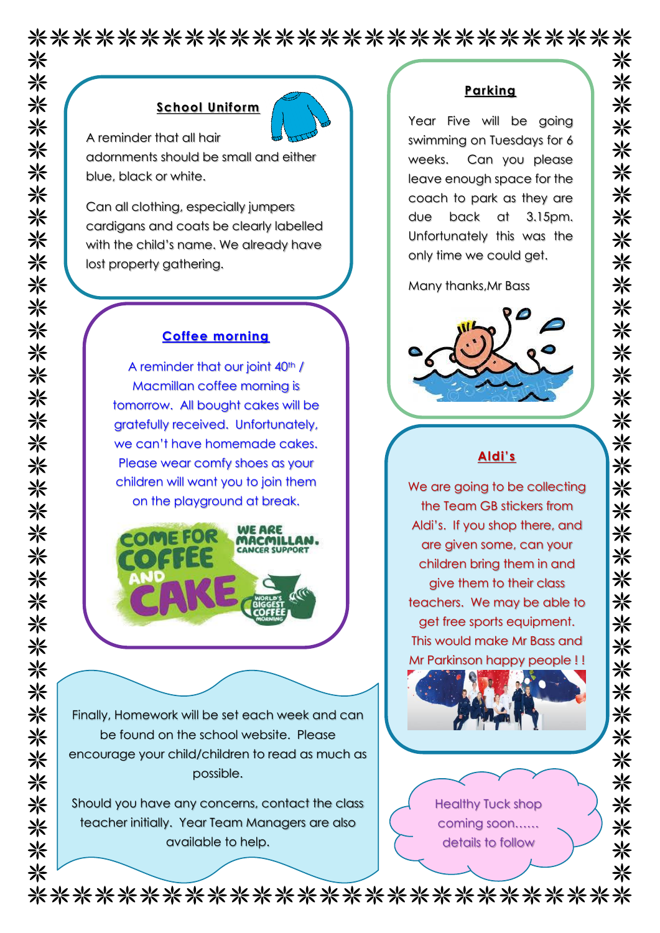\*\*\*\*\*\*\*\*\*\*\*\*\*\*\*\*\*\*\*\*\*\*\*\*\*\*\*

### **School Uniform**



A reminder that all hair adornments should be small and either

blue, black or white.

Can all clothing, especially jumpers cardigans and coats be clearly labelled with the child's name. We already have lost property gathering.

### **Coffee morning**

A reminder that our joint 40<sup>th</sup> / Macmillan coffee morning is tomorrow. All bought cakes will be gratefully received. Unfortunately, we can't have homemade cakes. Please wear comfy shoes as your children will want you to join them on the playground at break.



Finally, Homework will be set each week and can be found on the school website. Please encourage your child/children to read as much as possible.

Should you have any concerns, contact the class teacher initially. Year Team Managers are also available to help.

### **Parking**

米

米

米 米

米

米

米 米

米

⋇

☀

⋇

※

氺

☀ ☀

米

米 米

☀

米米米

氺 ※

米

米 米

☀

☀

米

※

※

米

☀

米

⋇

兴

Year Five will be going swimming on Tuesdays for 6 weeks. Can you please leave enough space for the coach to park as they are due back at 3.15pm. Unfortunately this was the only time we could get.

Many thanks,Mr Bass



## **Aldi's**

We are going to be collecting the Team GB stickers from Aldi's. If you shop there, and are given some, can your children bring them in and give them to their class teachers. We may be able to get free sports equipment. This would make Mr Bass and Mr Parkinson happy people ! !



\*\*\*\*\*\*\*\*\*\*\*\*\*\*\*\*\*\*\*\*\*\*\*\*\*\*\*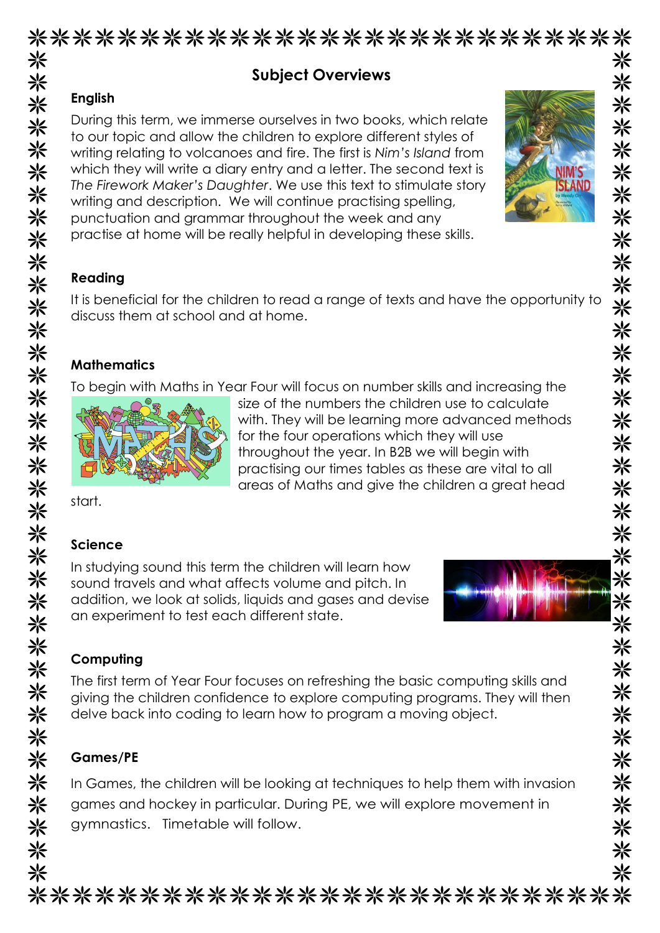| During this term, we immerse ourselves in two books, which relate<br>to our topic and allow the children to explore different styles of<br>writing relating to volcanoes and fire. The first is Nim's Island from<br>which they will write a diary entry and a letter. The second text is<br>The Firework Maker's Daughter. We use this text to stimulate story<br>writing and description. We will continue practising spelling,<br>punctuation and grammar throughout the week and any<br>practise at home will be really helpful in developing these skills.<br>It is beneficial for the children to read a range of texts and have the opportunity to<br>discuss them at school and at home.<br><b>Mathematics</b><br>To begin with Maths in Year Four will focus on number skills and increasing the<br>size of the numbers the children use to calculate<br>with. They will be learning more advanced methods<br>for the four operations which they will use<br>throughout the year. In B2B we will begin with<br>practising our times tables as these are vital to all<br>areas of Maths and give the children a great head<br>In studying sound this term the children will learn how<br>sound travels and what affects volume and pitch. In<br>addition, we look at solids, liquids and gases and devise<br>an experiment to test each different state.<br>Computing<br>The first term of Year Four focuses on refreshing the basic computing skills and<br>giving the children confidence to explore computing programs. They will then<br>delve back into coding to learn how to program a moving object.<br>In Games, the children will be looking at techniques to help them with invasion |                 | <b>Subject Overviews</b> |  |
|---------------------------------------------------------------------------------------------------------------------------------------------------------------------------------------------------------------------------------------------------------------------------------------------------------------------------------------------------------------------------------------------------------------------------------------------------------------------------------------------------------------------------------------------------------------------------------------------------------------------------------------------------------------------------------------------------------------------------------------------------------------------------------------------------------------------------------------------------------------------------------------------------------------------------------------------------------------------------------------------------------------------------------------------------------------------------------------------------------------------------------------------------------------------------------------------------------------------------------------------------------------------------------------------------------------------------------------------------------------------------------------------------------------------------------------------------------------------------------------------------------------------------------------------------------------------------------------------------------------------------------------------------------------------------------------------------------|-----------------|--------------------------|--|
|                                                                                                                                                                                                                                                                                                                                                                                                                                                                                                                                                                                                                                                                                                                                                                                                                                                                                                                                                                                                                                                                                                                                                                                                                                                                                                                                                                                                                                                                                                                                                                                                                                                                                                         | <b>English</b>  |                          |  |
|                                                                                                                                                                                                                                                                                                                                                                                                                                                                                                                                                                                                                                                                                                                                                                                                                                                                                                                                                                                                                                                                                                                                                                                                                                                                                                                                                                                                                                                                                                                                                                                                                                                                                                         |                 |                          |  |
|                                                                                                                                                                                                                                                                                                                                                                                                                                                                                                                                                                                                                                                                                                                                                                                                                                                                                                                                                                                                                                                                                                                                                                                                                                                                                                                                                                                                                                                                                                                                                                                                                                                                                                         | Reading         |                          |  |
|                                                                                                                                                                                                                                                                                                                                                                                                                                                                                                                                                                                                                                                                                                                                                                                                                                                                                                                                                                                                                                                                                                                                                                                                                                                                                                                                                                                                                                                                                                                                                                                                                                                                                                         |                 |                          |  |
|                                                                                                                                                                                                                                                                                                                                                                                                                                                                                                                                                                                                                                                                                                                                                                                                                                                                                                                                                                                                                                                                                                                                                                                                                                                                                                                                                                                                                                                                                                                                                                                                                                                                                                         |                 |                          |  |
|                                                                                                                                                                                                                                                                                                                                                                                                                                                                                                                                                                                                                                                                                                                                                                                                                                                                                                                                                                                                                                                                                                                                                                                                                                                                                                                                                                                                                                                                                                                                                                                                                                                                                                         |                 |                          |  |
|                                                                                                                                                                                                                                                                                                                                                                                                                                                                                                                                                                                                                                                                                                                                                                                                                                                                                                                                                                                                                                                                                                                                                                                                                                                                                                                                                                                                                                                                                                                                                                                                                                                                                                         |                 |                          |  |
|                                                                                                                                                                                                                                                                                                                                                                                                                                                                                                                                                                                                                                                                                                                                                                                                                                                                                                                                                                                                                                                                                                                                                                                                                                                                                                                                                                                                                                                                                                                                                                                                                                                                                                         |                 |                          |  |
|                                                                                                                                                                                                                                                                                                                                                                                                                                                                                                                                                                                                                                                                                                                                                                                                                                                                                                                                                                                                                                                                                                                                                                                                                                                                                                                                                                                                                                                                                                                                                                                                                                                                                                         |                 |                          |  |
|                                                                                                                                                                                                                                                                                                                                                                                                                                                                                                                                                                                                                                                                                                                                                                                                                                                                                                                                                                                                                                                                                                                                                                                                                                                                                                                                                                                                                                                                                                                                                                                                                                                                                                         |                 |                          |  |
|                                                                                                                                                                                                                                                                                                                                                                                                                                                                                                                                                                                                                                                                                                                                                                                                                                                                                                                                                                                                                                                                                                                                                                                                                                                                                                                                                                                                                                                                                                                                                                                                                                                                                                         |                 |                          |  |
|                                                                                                                                                                                                                                                                                                                                                                                                                                                                                                                                                                                                                                                                                                                                                                                                                                                                                                                                                                                                                                                                                                                                                                                                                                                                                                                                                                                                                                                                                                                                                                                                                                                                                                         | start.          |                          |  |
|                                                                                                                                                                                                                                                                                                                                                                                                                                                                                                                                                                                                                                                                                                                                                                                                                                                                                                                                                                                                                                                                                                                                                                                                                                                                                                                                                                                                                                                                                                                                                                                                                                                                                                         | <b>Science</b>  |                          |  |
|                                                                                                                                                                                                                                                                                                                                                                                                                                                                                                                                                                                                                                                                                                                                                                                                                                                                                                                                                                                                                                                                                                                                                                                                                                                                                                                                                                                                                                                                                                                                                                                                                                                                                                         |                 |                          |  |
|                                                                                                                                                                                                                                                                                                                                                                                                                                                                                                                                                                                                                                                                                                                                                                                                                                                                                                                                                                                                                                                                                                                                                                                                                                                                                                                                                                                                                                                                                                                                                                                                                                                                                                         |                 |                          |  |
|                                                                                                                                                                                                                                                                                                                                                                                                                                                                                                                                                                                                                                                                                                                                                                                                                                                                                                                                                                                                                                                                                                                                                                                                                                                                                                                                                                                                                                                                                                                                                                                                                                                                                                         |                 |                          |  |
|                                                                                                                                                                                                                                                                                                                                                                                                                                                                                                                                                                                                                                                                                                                                                                                                                                                                                                                                                                                                                                                                                                                                                                                                                                                                                                                                                                                                                                                                                                                                                                                                                                                                                                         |                 |                          |  |
|                                                                                                                                                                                                                                                                                                                                                                                                                                                                                                                                                                                                                                                                                                                                                                                                                                                                                                                                                                                                                                                                                                                                                                                                                                                                                                                                                                                                                                                                                                                                                                                                                                                                                                         |                 |                          |  |
|                                                                                                                                                                                                                                                                                                                                                                                                                                                                                                                                                                                                                                                                                                                                                                                                                                                                                                                                                                                                                                                                                                                                                                                                                                                                                                                                                                                                                                                                                                                                                                                                                                                                                                         |                 |                          |  |
|                                                                                                                                                                                                                                                                                                                                                                                                                                                                                                                                                                                                                                                                                                                                                                                                                                                                                                                                                                                                                                                                                                                                                                                                                                                                                                                                                                                                                                                                                                                                                                                                                                                                                                         |                 |                          |  |
|                                                                                                                                                                                                                                                                                                                                                                                                                                                                                                                                                                                                                                                                                                                                                                                                                                                                                                                                                                                                                                                                                                                                                                                                                                                                                                                                                                                                                                                                                                                                                                                                                                                                                                         |                 |                          |  |
|                                                                                                                                                                                                                                                                                                                                                                                                                                                                                                                                                                                                                                                                                                                                                                                                                                                                                                                                                                                                                                                                                                                                                                                                                                                                                                                                                                                                                                                                                                                                                                                                                                                                                                         | <b>Games/PE</b> |                          |  |
|                                                                                                                                                                                                                                                                                                                                                                                                                                                                                                                                                                                                                                                                                                                                                                                                                                                                                                                                                                                                                                                                                                                                                                                                                                                                                                                                                                                                                                                                                                                                                                                                                                                                                                         |                 |                          |  |
| games and hockey in particular. During PE, we will explore movement in                                                                                                                                                                                                                                                                                                                                                                                                                                                                                                                                                                                                                                                                                                                                                                                                                                                                                                                                                                                                                                                                                                                                                                                                                                                                                                                                                                                                                                                                                                                                                                                                                                  |                 |                          |  |

# ※